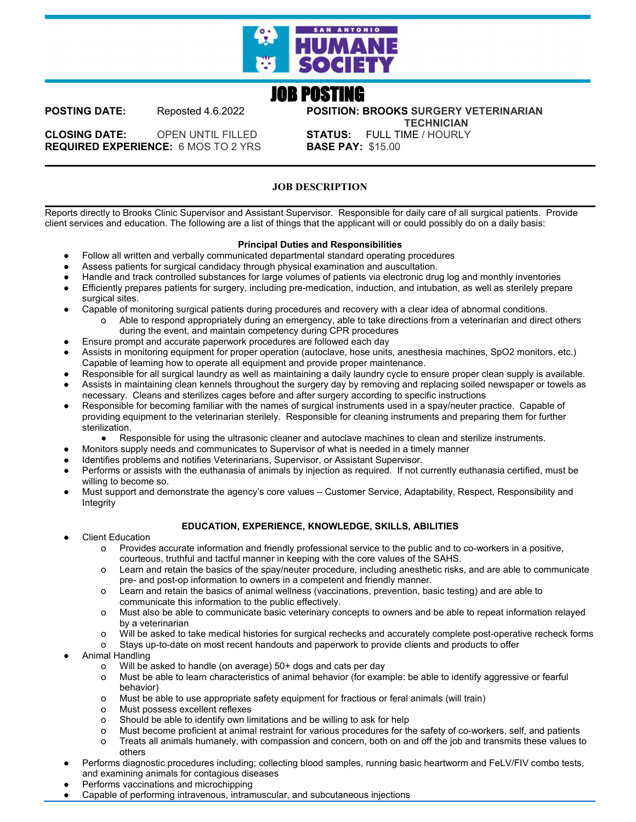

# JOB POSTING

**POSTING DATE:** Reposted 4.6.2022 **POSITION: BROOKS SURGERY VETERINARIAN TECHNICIAN**

**CLOSING DATE:** OPEN UNTIL FILLED **STATUS:** FULL TIME / HOURLY **REQUIRED EXPERIENCE: 6 MOS TO 2 YRS** 

## **JOB DESCRIPTION**

Reports directly to Brooks Clinic Supervisor and Assistant Supervisor. Responsible for daily care of all surgical patients. Provide client services and education. The following are a list of things that the applicant will or could possibly do on a daily basis:

## **Principal Duties and Responsibilities**

- Follow all written and verbally communicated departmental standard operating procedures
- Assess patients for surgical candidacy through physical examination and auscultation.
- Handle and track controlled substances for large volumes of patients via electronic drug log and monthly inventories
- Efficiently prepares patients for surgery, including pre-medication, induction, and intubation, as well as sterilely prepare surgical sites.
- Capable of monitoring surgical patients during procedures and recovery with a clear idea of abnormal conditions. o Able to respond appropriately during an emergency, able to take directions from a veterinarian and direct others during the event, and maintain competency during CPR procedures
- Ensure prompt and accurate paperwork procedures are followed each day
- Assists in monitoring equipment for proper operation (autoclave, hose units, anesthesia machines, SpO2 monitors, etc.) Capable of learning how to operate all equipment and provide proper maintenance.
- Responsible for all surgical laundry as well as maintaining a daily laundry cycle to ensure proper clean supply is available.
- Assists in maintaining clean kennels throughout the surgery day by removing and replacing soiled newspaper or towels as necessary. Cleans and sterilizes cages before and after surgery according to specific instructions
- Responsible for becoming familiar with the names of surgical instruments used in a spay/neuter practice. Capable of providing equipment to the veterinarian sterilely. Responsible for cleaning instruments and preparing them for further sterilization.
	- Responsible for using the ultrasonic cleaner and autoclave machines to clean and sterilize instruments.
- Monitors supply needs and communicates to Supervisor of what is needed in a timely manner
- Identifies problems and notifies Veterinarians, Supervisor, or Assistant Supervisor.
- Performs or assists with the euthanasia of animals by injection as required. If not currently euthanasia certified, must be willing to become so.
- Must support and demonstrate the agency's core values Customer Service, Adaptability, Respect, Responsibility and Integrity

## **EDUCATION, EXPERIENCE, KNOWLEDGE, SKILLS, ABILITIES**

- **Client Education** 
	- o Provides accurate information and friendly professional service to the public and to co-workers in a positive, courteous, truthful and tactful manner in keeping with the core values of the SAHS.
	- o Learn and retain the basics of the spay/neuter procedure, including anesthetic risks, and are able to communicate pre- and post-op information to owners in a competent and friendly manner.
	- o Learn and retain the basics of animal wellness (vaccinations, prevention, basic testing) and are able to communicate this information to the public effectively.
	- o Must also be able to communicate basic veterinary concepts to owners and be able to repeat information relayed by a veterinarian
	- o Will be asked to take medical histories for surgical rechecks and accurately complete post-operative recheck forms
	- o Stays up-to-date on most recent handouts and paperwork to provide clients and products to offer
- Animal Handling
	- o Will be asked to handle (on average) 50+ dogs and cats per day
	- o Must be able to learn characteristics of animal behavior (for example: be able to identify aggressive or fearful behavior)
	- o Must be able to use appropriate safety equipment for fractious or feral animals (will train)
	- o Must possess excellent reflexes
	- o Should be able to identify own limitations and be willing to ask for help
	- o Must become proficient at animal restraint for various procedures for the safety of co-workers, self, and patients
	- o Treats all animals humanely, with compassion and concern, both on and off the job and transmits these values to others
- Performs diagnostic procedures including; collecting blood samples, running basic heartworm and FeLV/FIV combo tests, and examining animals for contagious diseases
- Performs vaccinations and microchipping
- Capable of performing intravenous, intramuscular, and subcutaneous injections